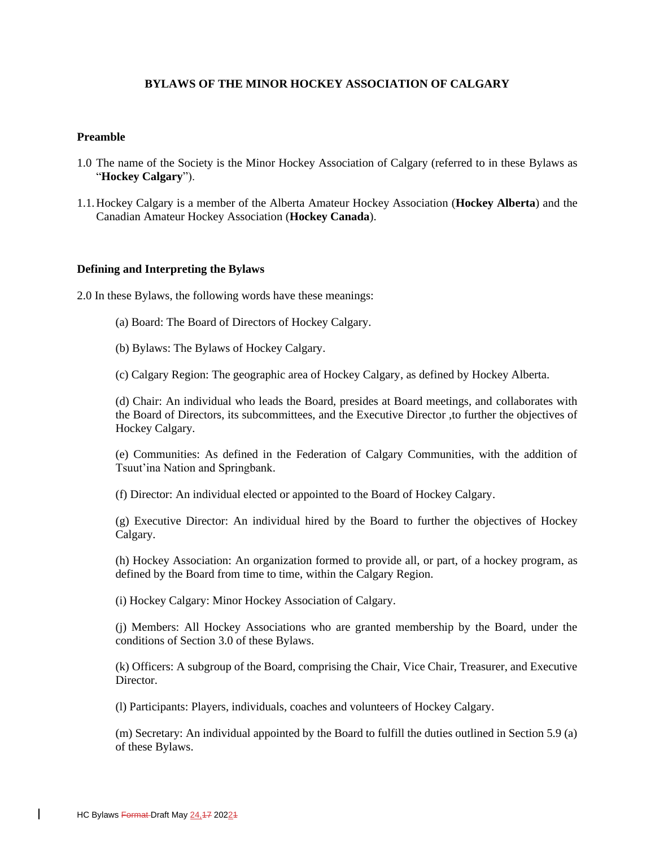# **BYLAWS OF THE MINOR HOCKEY ASSOCIATION OF CALGARY**

### **Preamble**

- 1.0 The name of the Society is the Minor Hockey Association of Calgary (referred to in these Bylaws as "**Hockey Calgary**").
- 1.1.Hockey Calgary is a member of the Alberta Amateur Hockey Association (**Hockey Alberta**) and the Canadian Amateur Hockey Association (**Hockey Canada**).

#### **Defining and Interpreting the Bylaws**

2.0 In these Bylaws, the following words have these meanings:

- (a) Board: The Board of Directors of Hockey Calgary.
- (b) Bylaws: The Bylaws of Hockey Calgary.
- (c) Calgary Region: The geographic area of Hockey Calgary, as defined by Hockey Alberta.

(d) Chair: An individual who leads the Board, presides at Board meetings, and collaborates with the Board of Directors, its subcommittees, and the Executive Director ,to further the objectives of Hockey Calgary.

(e) Communities: As defined in the Federation of Calgary Communities, with the addition of Tsuut'ina Nation and Springbank.

(f) Director: An individual elected or appointed to the Board of Hockey Calgary.

(g) Executive Director: An individual hired by the Board to further the objectives of Hockey Calgary.

(h) Hockey Association: An organization formed to provide all, or part, of a hockey program, as defined by the Board from time to time, within the Calgary Region.

(i) Hockey Calgary: Minor Hockey Association of Calgary.

(j) Members: All Hockey Associations who are granted membership by the Board, under the conditions of Section 3.0 of these Bylaws.

(k) Officers: A subgroup of the Board, comprising the Chair, Vice Chair, Treasurer, and Executive Director.

(l) Participants: Players, individuals, coaches and volunteers of Hockey Calgary.

(m) Secretary: An individual appointed by the Board to fulfill the duties outlined in Section 5.9 (a) of these Bylaws.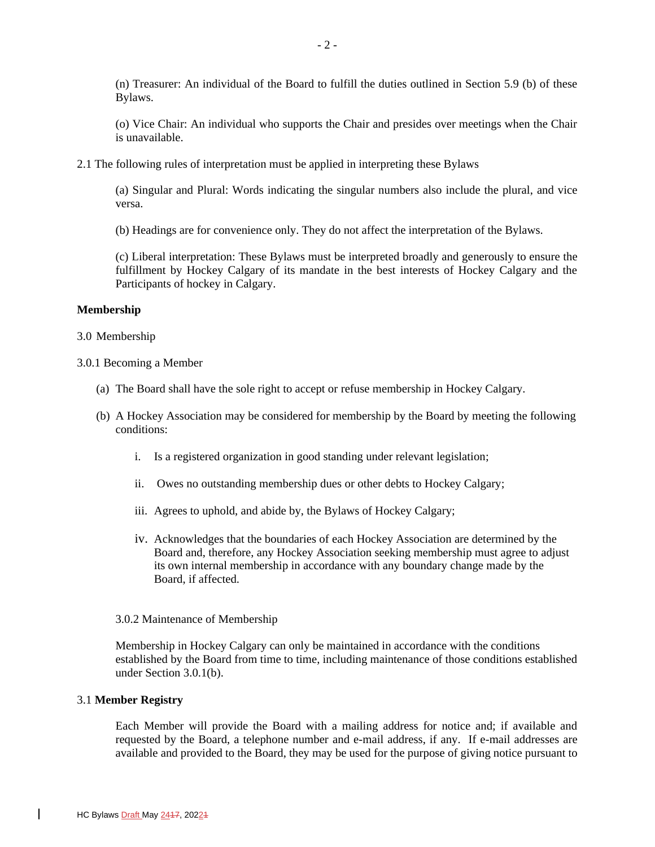(n) Treasurer: An individual of the Board to fulfill the duties outlined in Section 5.9 (b) of these Bylaws.

(o) Vice Chair: An individual who supports the Chair and presides over meetings when the Chair is unavailable.

2.1 The following rules of interpretation must be applied in interpreting these Bylaws

(a) Singular and Plural: Words indicating the singular numbers also include the plural, and vice versa.

(b) Headings are for convenience only. They do not affect the interpretation of the Bylaws.

(c) Liberal interpretation: These Bylaws must be interpreted broadly and generously to ensure the fulfillment by Hockey Calgary of its mandate in the best interests of Hockey Calgary and the Participants of hockey in Calgary.

#### **Membership**

#### 3.0 Membership

## 3.0.1 Becoming a Member

- (a) The Board shall have the sole right to accept or refuse membership in Hockey Calgary.
- (b) A Hockey Association may be considered for membership by the Board by meeting the following conditions:
	- i. Is a registered organization in good standing under relevant legislation;
	- ii. Owes no outstanding membership dues or other debts to Hockey Calgary;
	- iii. Agrees to uphold, and abide by, the Bylaws of Hockey Calgary;
	- iv. Acknowledges that the boundaries of each Hockey Association are determined by the Board and, therefore, any Hockey Association seeking membership must agree to adjust its own internal membership in accordance with any boundary change made by the Board, if affected.

#### 3.0.2 Maintenance of Membership

Membership in Hockey Calgary can only be maintained in accordance with the conditions established by the Board from time to time, including maintenance of those conditions established under Section 3.0.1(b).

#### 3.1 **Member Registry**

Each Member will provide the Board with a mailing address for notice and; if available and requested by the Board, a telephone number and e-mail address, if any. If e-mail addresses are available and provided to the Board, they may be used for the purpose of giving notice pursuant to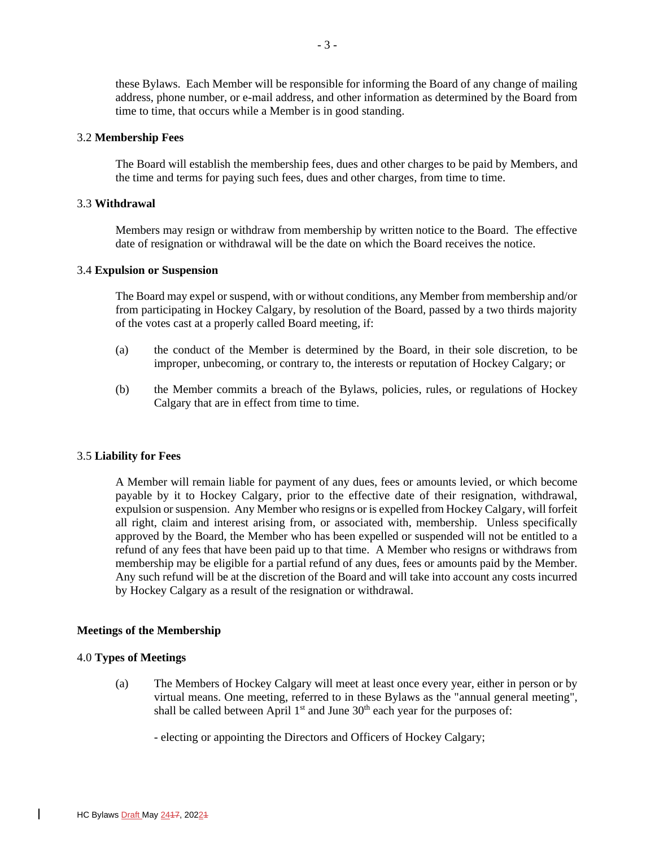these Bylaws. Each Member will be responsible for informing the Board of any change of mailing address, phone number, or e-mail address, and other information as determined by the Board from time to time, that occurs while a Member is in good standing.

#### 3.2 **Membership Fees**

The Board will establish the membership fees, dues and other charges to be paid by Members, and the time and terms for paying such fees, dues and other charges, from time to time.

#### 3.3 **Withdrawal**

Members may resign or withdraw from membership by written notice to the Board. The effective date of resignation or withdrawal will be the date on which the Board receives the notice.

## 3.4 **Expulsion or Suspension**

The Board may expel or suspend, with or without conditions, any Member from membership and/or from participating in Hockey Calgary, by resolution of the Board, passed by a two thirds majority of the votes cast at a properly called Board meeting, if:

- (a) the conduct of the Member is determined by the Board, in their sole discretion, to be improper, unbecoming, or contrary to, the interests or reputation of Hockey Calgary; or
- (b) the Member commits a breach of the Bylaws, policies, rules, or regulations of Hockey Calgary that are in effect from time to time.

#### 3.5 **Liability for Fees**

A Member will remain liable for payment of any dues, fees or amounts levied, or which become payable by it to Hockey Calgary, prior to the effective date of their resignation, withdrawal, expulsion or suspension. Any Member who resigns or is expelled from Hockey Calgary, will forfeit all right, claim and interest arising from, or associated with, membership. Unless specifically approved by the Board, the Member who has been expelled or suspended will not be entitled to a refund of any fees that have been paid up to that time. A Member who resigns or withdraws from membership may be eligible for a partial refund of any dues, fees or amounts paid by the Member. Any such refund will be at the discretion of the Board and will take into account any costs incurred by Hockey Calgary as a result of the resignation or withdrawal.

#### **Meetings of the Membership**

#### 4.0 **Types of Meetings**

(a) The Members of Hockey Calgary will meet at least once every year, either in person or by virtual means. One meeting, referred to in these Bylaws as the "annual general meeting", shall be called between April  $1<sup>st</sup>$  and June  $30<sup>th</sup>$  each year for the purposes of:

- electing or appointing the Directors and Officers of Hockey Calgary;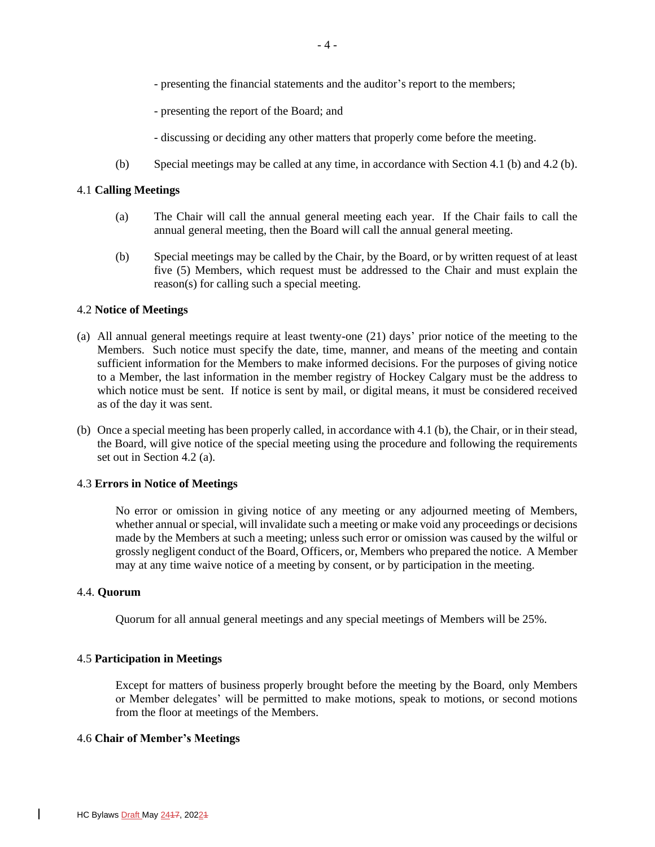- presenting the financial statements and the auditor's report to the members;
- presenting the report of the Board; and
- discussing or deciding any other matters that properly come before the meeting.
- (b) Special meetings may be called at any time, in accordance with Section 4.1 (b) and 4.2 (b).

## 4.1 **Calling Meetings**

- (a) The Chair will call the annual general meeting each year. If the Chair fails to call the annual general meeting, then the Board will call the annual general meeting.
- (b) Special meetings may be called by the Chair, by the Board, or by written request of at least five (5) Members, which request must be addressed to the Chair and must explain the reason(s) for calling such a special meeting.

# 4.2 **Notice of Meetings**

- (a) All annual general meetings require at least twenty-one (21) days' prior notice of the meeting to the Members. Such notice must specify the date, time, manner, and means of the meeting and contain sufficient information for the Members to make informed decisions. For the purposes of giving notice to a Member, the last information in the member registry of Hockey Calgary must be the address to which notice must be sent. If notice is sent by mail, or digital means, it must be considered received as of the day it was sent.
- (b) Once a special meeting has been properly called, in accordance with 4.1 (b), the Chair, or in their stead, the Board, will give notice of the special meeting using the procedure and following the requirements set out in Section 4.2 (a).

### 4.3 **Errors in Notice of Meetings**

No error or omission in giving notice of any meeting or any adjourned meeting of Members, whether annual or special, will invalidate such a meeting or make void any proceedings or decisions made by the Members at such a meeting; unless such error or omission was caused by the wilful or grossly negligent conduct of the Board, Officers, or, Members who prepared the notice. A Member may at any time waive notice of a meeting by consent, or by participation in the meeting.

### 4.4. **Quorum**

Quorum for all annual general meetings and any special meetings of Members will be 25%.

# 4.5 **Participation in Meetings**

Except for matters of business properly brought before the meeting by the Board, only Members or Member delegates' will be permitted to make motions, speak to motions, or second motions from the floor at meetings of the Members.

### 4.6 **Chair of Member's Meetings**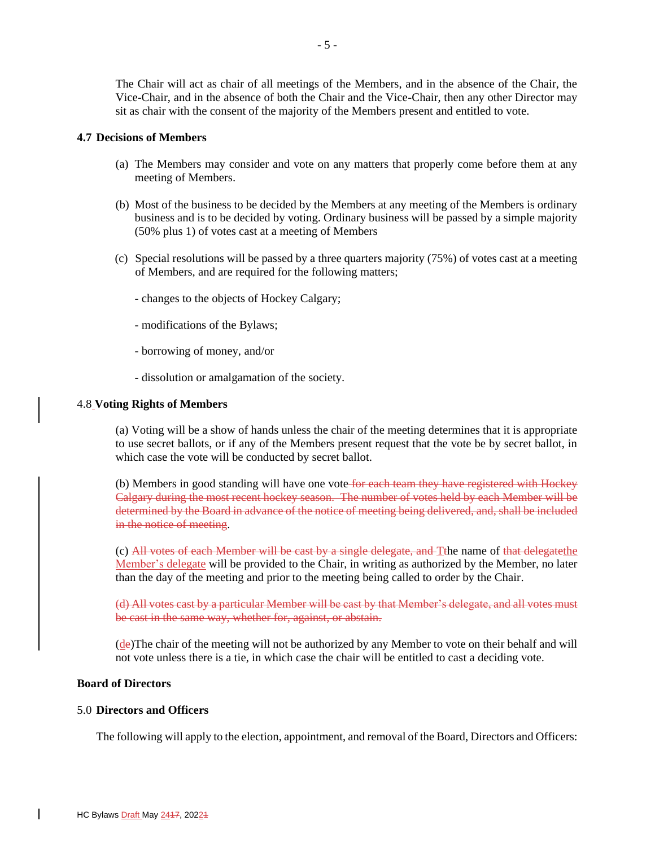The Chair will act as chair of all meetings of the Members, and in the absence of the Chair, the Vice-Chair, and in the absence of both the Chair and the Vice-Chair, then any other Director may sit as chair with the consent of the majority of the Members present and entitled to vote.

#### **4.7 Decisions of Members**

- (a) The Members may consider and vote on any matters that properly come before them at any meeting of Members.
- (b) Most of the business to be decided by the Members at any meeting of the Members is ordinary business and is to be decided by voting. Ordinary business will be passed by a simple majority (50% plus 1) of votes cast at a meeting of Members
- (c) Special resolutions will be passed by a three quarters majority (75%) of votes cast at a meeting of Members, and are required for the following matters;
	- changes to the objects of Hockey Calgary;
	- modifications of the Bylaws;
	- borrowing of money, and/or
	- dissolution or amalgamation of the society.

### 4.8 **Voting Rights of Members**

(a) Voting will be a show of hands unless the chair of the meeting determines that it is appropriate to use secret ballots, or if any of the Members present request that the vote be by secret ballot, in which case the vote will be conducted by secret ballot.

(b) Members in good standing will have one vote for each team they have registered with Hockey Calgary during the most recent hockey season. The number of votes held by each Member will be determined by the Board in advance of the notice of meeting being delivered, and, shall be included in the notice of meeting.

(c) All votes of each Member will be cast by a single delegate, and Tthe name of that delegatethe Member's delegate will be provided to the Chair, in writing as authorized by the Member, no later than the day of the meeting and prior to the meeting being called to order by the Chair.

(d) All votes cast by a particular Member will be cast by that Member's delegate, and all votes must be cast in the same way, whether for, against, or abstain.

 $(d$ e)The chair of the meeting will not be authorized by any Member to vote on their behalf and will not vote unless there is a tie, in which case the chair will be entitled to cast a deciding vote.

## **Board of Directors**

### 5.0 **Directors and Officers**

The following will apply to the election, appointment, and removal of the Board, Directors and Officers: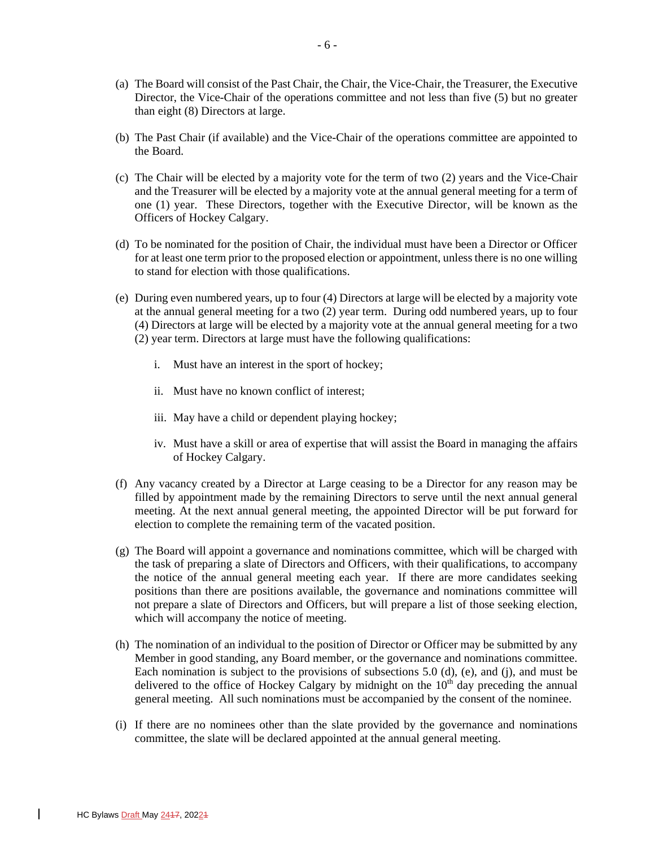- (a) The Board will consist of the Past Chair, the Chair, the Vice-Chair, the Treasurer, the Executive Director, the Vice-Chair of the operations committee and not less than five (5) but no greater than eight (8) Directors at large.
- (b) The Past Chair (if available) and the Vice-Chair of the operations committee are appointed to the Board.
- (c) The Chair will be elected by a majority vote for the term of two (2) years and the Vice-Chair and the Treasurer will be elected by a majority vote at the annual general meeting for a term of one (1) year. These Directors, together with the Executive Director, will be known as the Officers of Hockey Calgary.
- (d) To be nominated for the position of Chair, the individual must have been a Director or Officer for at least one term prior to the proposed election or appointment, unless there is no one willing to stand for election with those qualifications.
- (e) During even numbered years, up to four (4) Directors at large will be elected by a majority vote at the annual general meeting for a two (2) year term. During odd numbered years, up to four (4) Directors at large will be elected by a majority vote at the annual general meeting for a two (2) year term. Directors at large must have the following qualifications:
	- i. Must have an interest in the sport of hockey;
	- ii. Must have no known conflict of interest;
	- iii. May have a child or dependent playing hockey;
	- iv. Must have a skill or area of expertise that will assist the Board in managing the affairs of Hockey Calgary.
- (f) Any vacancy created by a Director at Large ceasing to be a Director for any reason may be filled by appointment made by the remaining Directors to serve until the next annual general meeting. At the next annual general meeting, the appointed Director will be put forward for election to complete the remaining term of the vacated position.
- (g) The Board will appoint a governance and nominations committee, which will be charged with the task of preparing a slate of Directors and Officers, with their qualifications, to accompany the notice of the annual general meeting each year. If there are more candidates seeking positions than there are positions available, the governance and nominations committee will not prepare a slate of Directors and Officers, but will prepare a list of those seeking election, which will accompany the notice of meeting.
- (h) The nomination of an individual to the position of Director or Officer may be submitted by any Member in good standing, any Board member, or the governance and nominations committee. Each nomination is subject to the provisions of subsections  $5.0$  (d), (e), and (j), and must be delivered to the office of Hockey Calgary by midnight on the  $10<sup>th</sup>$  day preceding the annual general meeting. All such nominations must be accompanied by the consent of the nominee.
- (i) If there are no nominees other than the slate provided by the governance and nominations committee, the slate will be declared appointed at the annual general meeting.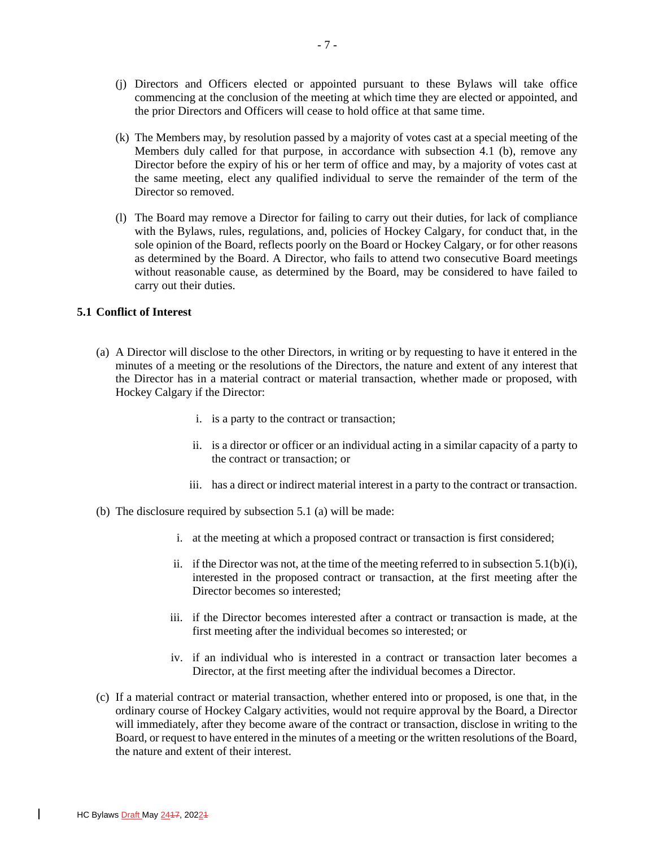- (j) Directors and Officers elected or appointed pursuant to these Bylaws will take office commencing at the conclusion of the meeting at which time they are elected or appointed, and the prior Directors and Officers will cease to hold office at that same time.
- (k) The Members may, by resolution passed by a majority of votes cast at a special meeting of the Members duly called for that purpose, in accordance with subsection 4.1 (b), remove any Director before the expiry of his or her term of office and may, by a majority of votes cast at the same meeting, elect any qualified individual to serve the remainder of the term of the Director so removed.
- (l) The Board may remove a Director for failing to carry out their duties, for lack of compliance with the Bylaws, rules, regulations, and, policies of Hockey Calgary, for conduct that, in the sole opinion of the Board, reflects poorly on the Board or Hockey Calgary, or for other reasons as determined by the Board. A Director, who fails to attend two consecutive Board meetings without reasonable cause, as determined by the Board, may be considered to have failed to carry out their duties.

# **5.1 Conflict of Interest**

- (a) A Director will disclose to the other Directors, in writing or by requesting to have it entered in the minutes of a meeting or the resolutions of the Directors, the nature and extent of any interest that the Director has in a material contract or material transaction, whether made or proposed, with Hockey Calgary if the Director:
	- i. is a party to the contract or transaction;
	- ii. is a director or officer or an individual acting in a similar capacity of a party to the contract or transaction; or
	- iii. has a direct or indirect material interest in a party to the contract or transaction.
- (b) The disclosure required by subsection 5.1 (a) will be made:
	- i. at the meeting at which a proposed contract or transaction is first considered;
	- ii. if the Director was not, at the time of the meeting referred to in subsection  $5.1(b)(i)$ , interested in the proposed contract or transaction, at the first meeting after the Director becomes so interested;
	- iii. if the Director becomes interested after a contract or transaction is made, at the first meeting after the individual becomes so interested; or
	- iv. if an individual who is interested in a contract or transaction later becomes a Director, at the first meeting after the individual becomes a Director.
- (c) If a material contract or material transaction, whether entered into or proposed, is one that, in the ordinary course of Hockey Calgary activities, would not require approval by the Board, a Director will immediately, after they become aware of the contract or transaction, disclose in writing to the Board, or request to have entered in the minutes of a meeting or the written resolutions of the Board, the nature and extent of their interest.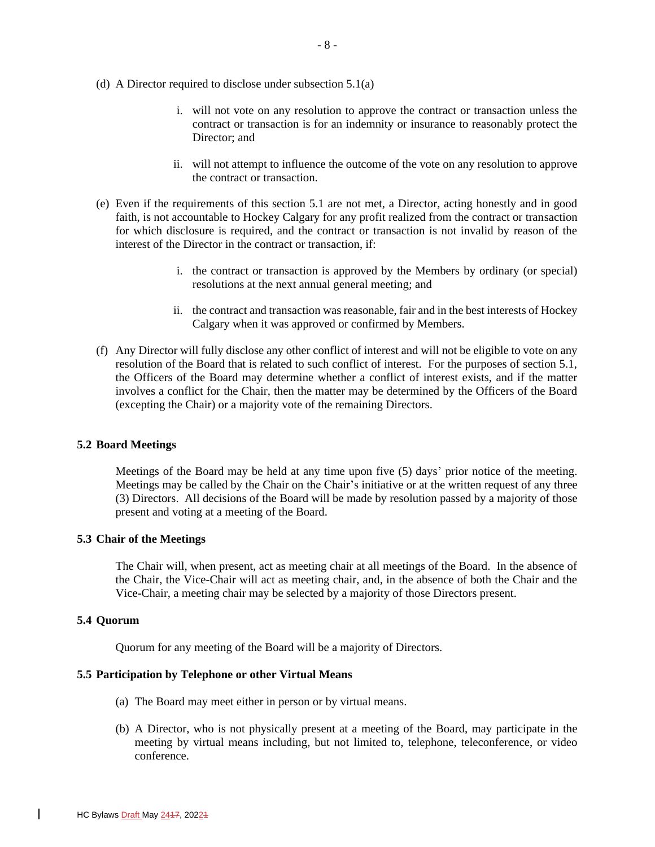- (d) A Director required to disclose under subsection 5.1(a)
	- i. will not vote on any resolution to approve the contract or transaction unless the contract or transaction is for an indemnity or insurance to reasonably protect the Director; and
	- ii. will not attempt to influence the outcome of the vote on any resolution to approve the contract or transaction.
- (e) Even if the requirements of this section 5.1 are not met, a Director, acting honestly and in good faith, is not accountable to Hockey Calgary for any profit realized from the contract or transaction for which disclosure is required, and the contract or transaction is not invalid by reason of the interest of the Director in the contract or transaction, if:
	- i. the contract or transaction is approved by the Members by ordinary (or special) resolutions at the next annual general meeting; and
	- ii. the contract and transaction was reasonable, fair and in the best interests of Hockey Calgary when it was approved or confirmed by Members.
- (f) Any Director will fully disclose any other conflict of interest and will not be eligible to vote on any resolution of the Board that is related to such conflict of interest. For the purposes of section 5.1, the Officers of the Board may determine whether a conflict of interest exists, and if the matter involves a conflict for the Chair, then the matter may be determined by the Officers of the Board (excepting the Chair) or a majority vote of the remaining Directors.

# **5.2 Board Meetings**

Meetings of the Board may be held at any time upon five (5) days' prior notice of the meeting. Meetings may be called by the Chair on the Chair's initiative or at the written request of any three (3) Directors. All decisions of the Board will be made by resolution passed by a majority of those present and voting at a meeting of the Board.

### **5.3 Chair of the Meetings**

The Chair will, when present, act as meeting chair at all meetings of the Board. In the absence of the Chair, the Vice-Chair will act as meeting chair, and, in the absence of both the Chair and the Vice-Chair, a meeting chair may be selected by a majority of those Directors present.

### **5.4 Quorum**

Quorum for any meeting of the Board will be a majority of Directors.

### **5.5 Participation by Telephone or other Virtual Means**

- (a) The Board may meet either in person or by virtual means.
- (b) A Director, who is not physically present at a meeting of the Board, may participate in the meeting by virtual means including, but not limited to, telephone, teleconference, or video conference.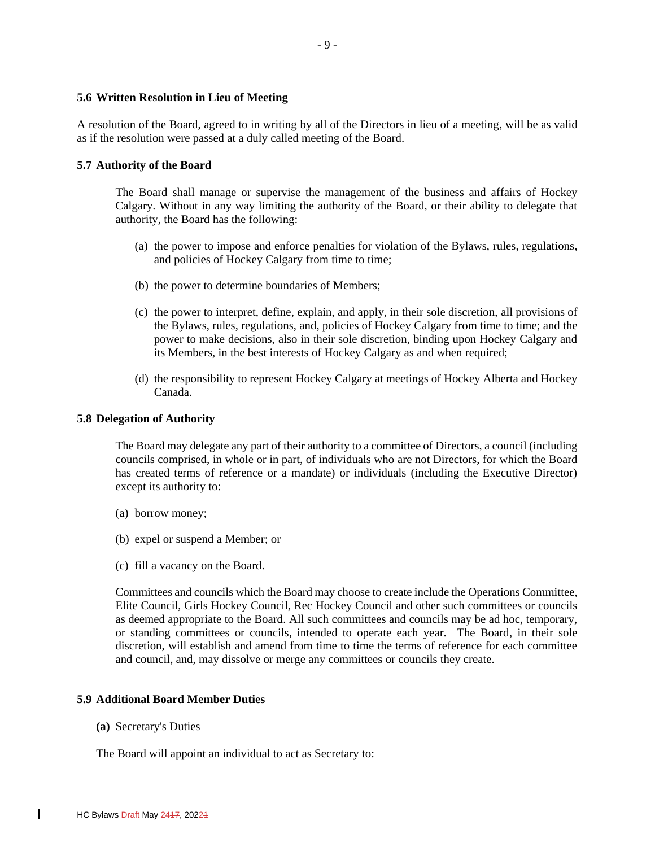## **5.6 Written Resolution in Lieu of Meeting**

A resolution of the Board, agreed to in writing by all of the Directors in lieu of a meeting, will be as valid as if the resolution were passed at a duly called meeting of the Board.

### **5.7 Authority of the Board**

The Board shall manage or supervise the management of the business and affairs of Hockey Calgary. Without in any way limiting the authority of the Board, or their ability to delegate that authority, the Board has the following:

- (a) the power to impose and enforce penalties for violation of the Bylaws, rules, regulations, and policies of Hockey Calgary from time to time;
- (b) the power to determine boundaries of Members;
- (c) the power to interpret, define, explain, and apply, in their sole discretion, all provisions of the Bylaws, rules, regulations, and, policies of Hockey Calgary from time to time; and the power to make decisions, also in their sole discretion, binding upon Hockey Calgary and its Members, in the best interests of Hockey Calgary as and when required;
- (d) the responsibility to represent Hockey Calgary at meetings of Hockey Alberta and Hockey Canada.

### **5.8 Delegation of Authority**

The Board may delegate any part of their authority to a committee of Directors, a council (including councils comprised, in whole or in part, of individuals who are not Directors, for which the Board has created terms of reference or a mandate) or individuals (including the Executive Director) except its authority to:

- (a) borrow money;
- (b) expel or suspend a Member; or
- (c) fill a vacancy on the Board.

Committees and councils which the Board may choose to create include the Operations Committee, Elite Council, Girls Hockey Council, Rec Hockey Council and other such committees or councils as deemed appropriate to the Board. All such committees and councils may be ad hoc, temporary, or standing committees or councils, intended to operate each year. The Board, in their sole discretion, will establish and amend from time to time the terms of reference for each committee and council, and, may dissolve or merge any committees or councils they create.

## **5.9 Additional Board Member Duties**

**(a)** Secretary's Duties

The Board will appoint an individual to act as Secretary to: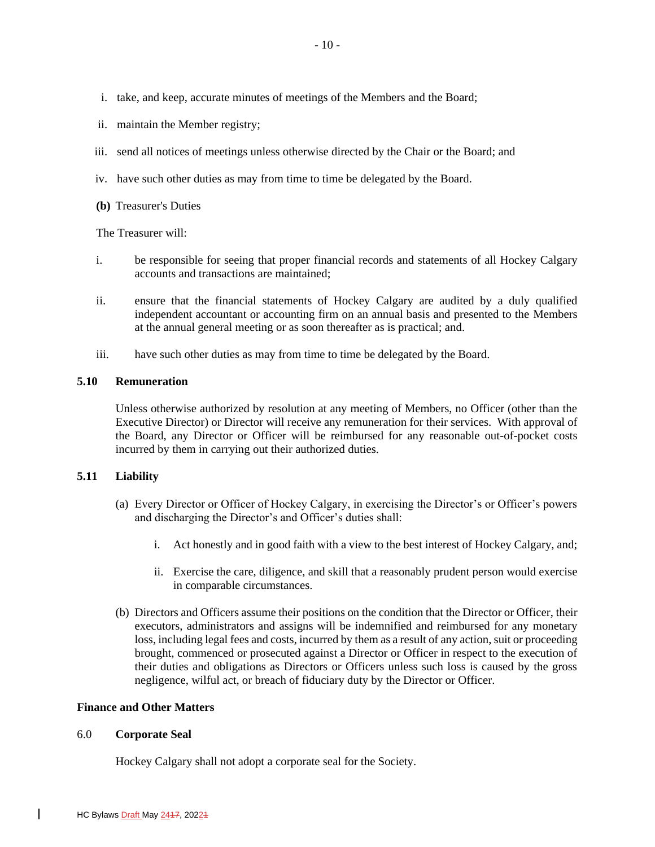- i. take, and keep, accurate minutes of meetings of the Members and the Board;
- ii. maintain the Member registry;
- iii. send all notices of meetings unless otherwise directed by the Chair or the Board; and
- iv. have such other duties as may from time to time be delegated by the Board.
- **(b)** Treasurer's Duties

The Treasurer will:

- i. be responsible for seeing that proper financial records and statements of all Hockey Calgary accounts and transactions are maintained;
- ii. ensure that the financial statements of Hockey Calgary are audited by a duly qualified independent accountant or accounting firm on an annual basis and presented to the Members at the annual general meeting or as soon thereafter as is practical; and.
- iii. have such other duties as may from time to time be delegated by the Board.

## **5.10 Remuneration**

Unless otherwise authorized by resolution at any meeting of Members, no Officer (other than the Executive Director) or Director will receive any remuneration for their services. With approval of the Board, any Director or Officer will be reimbursed for any reasonable out-of-pocket costs incurred by them in carrying out their authorized duties.

# **5.11 Liability**

- (a) Every Director or Officer of Hockey Calgary, in exercising the Director's or Officer's powers and discharging the Director's and Officer's duties shall:
	- i. Act honestly and in good faith with a view to the best interest of Hockey Calgary, and;
	- ii. Exercise the care, diligence, and skill that a reasonably prudent person would exercise in comparable circumstances.
- (b) Directors and Officers assume their positions on the condition that the Director or Officer, their executors, administrators and assigns will be indemnified and reimbursed for any monetary loss, including legal fees and costs, incurred by them as a result of any action, suit or proceeding brought, commenced or prosecuted against a Director or Officer in respect to the execution of their duties and obligations as Directors or Officers unless such loss is caused by the gross negligence, wilful act, or breach of fiduciary duty by the Director or Officer.

# **Finance and Other Matters**

### 6.0 **Corporate Seal**

Hockey Calgary shall not adopt a corporate seal for the Society.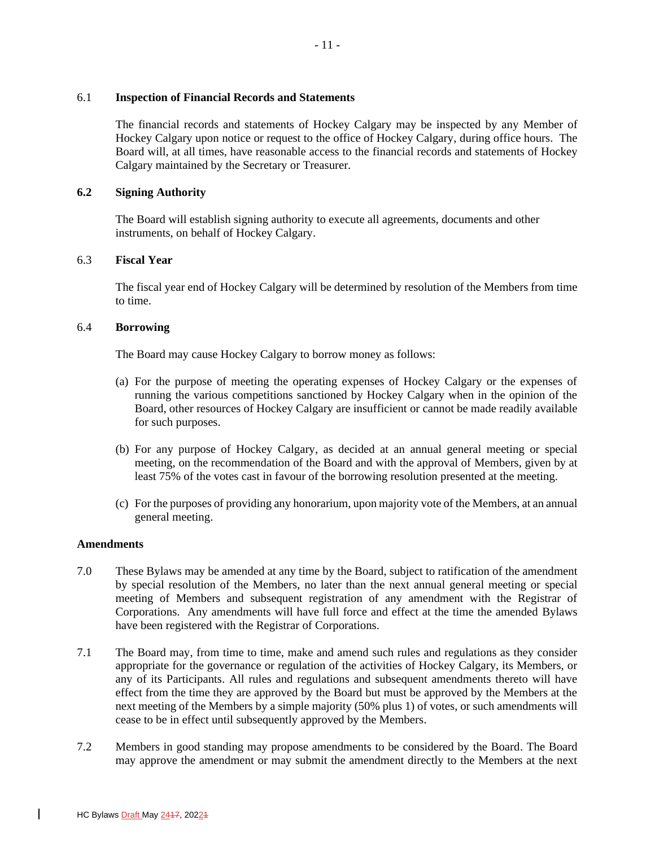### 6.1 **Inspection of Financial Records and Statements**

The financial records and statements of Hockey Calgary may be inspected by any Member of Hockey Calgary upon notice or request to the office of Hockey Calgary, during office hours. The Board will, at all times, have reasonable access to the financial records and statements of Hockey Calgary maintained by the Secretary or Treasurer.

# **6.2 Signing Authority**

The Board will establish signing authority to execute all agreements, documents and other instruments, on behalf of Hockey Calgary.

# 6.3 **Fiscal Year**

The fiscal year end of Hockey Calgary will be determined by resolution of the Members from time to time.

# 6.4 **Borrowing**

The Board may cause Hockey Calgary to borrow money as follows:

- (a) For the purpose of meeting the operating expenses of Hockey Calgary or the expenses of running the various competitions sanctioned by Hockey Calgary when in the opinion of the Board, other resources of Hockey Calgary are insufficient or cannot be made readily available for such purposes.
- (b) For any purpose of Hockey Calgary, as decided at an annual general meeting or special meeting, on the recommendation of the Board and with the approval of Members, given by at least 75% of the votes cast in favour of the borrowing resolution presented at the meeting.
- (c) For the purposes of providing any honorarium, upon majority vote of the Members, at an annual general meeting.

### **Amendments**

- 7.0 These Bylaws may be amended at any time by the Board, subject to ratification of the amendment by special resolution of the Members, no later than the next annual general meeting or special meeting of Members and subsequent registration of any amendment with the Registrar of Corporations. Any amendments will have full force and effect at the time the amended Bylaws have been registered with the Registrar of Corporations.
- 7.1 The Board may, from time to time, make and amend such rules and regulations as they consider appropriate for the governance or regulation of the activities of Hockey Calgary, its Members, or any of its Participants. All rules and regulations and subsequent amendments thereto will have effect from the time they are approved by the Board but must be approved by the Members at the next meeting of the Members by a simple majority (50% plus 1) of votes, or such amendments will cease to be in effect until subsequently approved by the Members.
- 7.2 Members in good standing may propose amendments to be considered by the Board. The Board may approve the amendment or may submit the amendment directly to the Members at the next